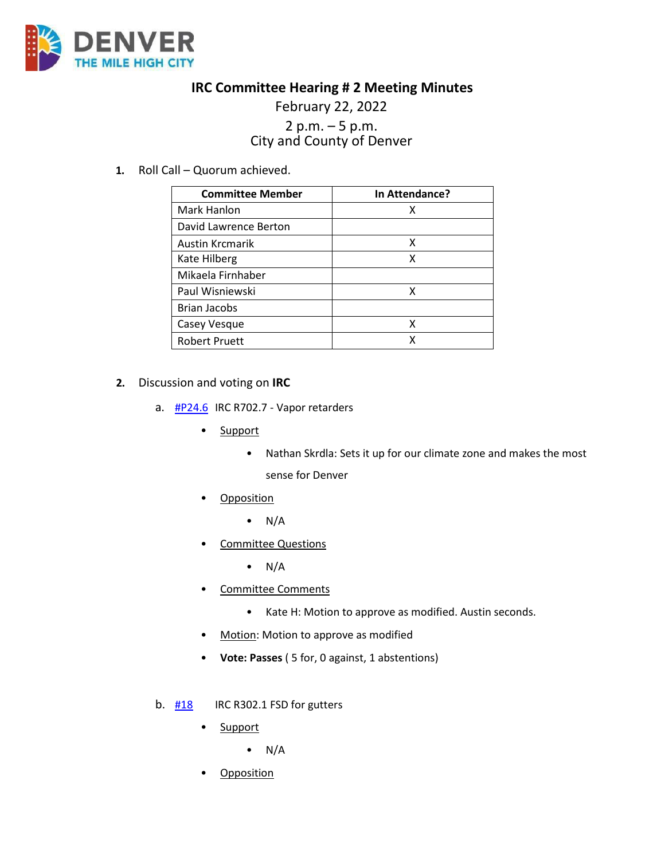

## **IRC Committee Hearing # 2 Meeting Minutes**

## February 22, 2022 2 p.m. – 5 p.m.<br>City and County of Denver

**1.** Roll Call – Quorum achieved.

| <b>Committee Member</b> | In Attendance? |
|-------------------------|----------------|
| Mark Hanlon             | x              |
| David Lawrence Berton   |                |
| <b>Austin Krcmarik</b>  | х              |
| Kate Hilberg            | x              |
| Mikaela Firnhaber       |                |
| Paul Wisniewski         | x              |
| <b>Brian Jacobs</b>     |                |
| Casey Vesque            | x              |
| <b>Robert Pruett</b>    | x              |

## **2.** Discussion and voting on **IRC**

- a.  $\frac{\text{HP24.6}}{\text{HP24.6}}$  IRC R702.7 Vapor retarders
	- Support
		- Nathan Skrdla: Sets it up for our climate zone and makes the most sense for Denver
	- Opposition
		- $\bullet$  N/A
	- Committee Questions
		- $\bullet$  N/A
	- Committee Comments
		- Kate H: Motion to approve as modified. Austin seconds.
	- Motion: Motion to approve as modified
	- **Vote: Passes** ( 5 for, 0 against, 1 abstentions)
- b.  $\frac{118}{120}$  IRC R302.1 FSD for gutters
	- Support
		- $\bullet$  N/A
	- **Opposition**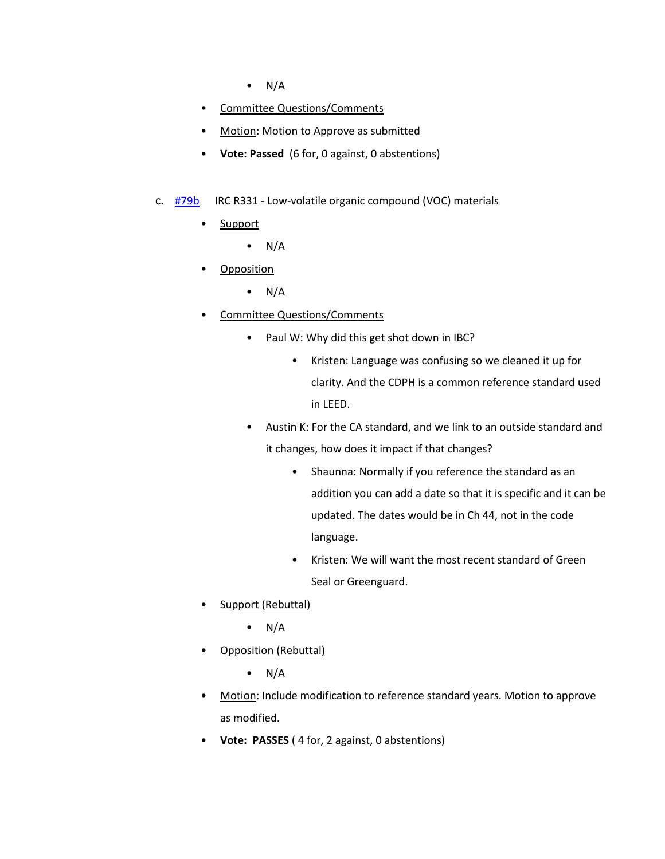- $\bullet$  N/A
- Committee Questions/Comments
- Motion: Motion to Approve as submitted
- **Vote: Passed** (6 for, 0 against, 0 abstentions)
- c. [#79b](https://www.denvergov.org/files/assets/public/community-planning-and-development/documents/ds/building-codes/code-adoption/amendment-proposals/irc/irc_331.pdf) IRC R331 Low-volatile organic compound (VOC) materials
	- Support
		- $N/A$
	- Opposition
		- $\bullet$  N/A
	- Committee Questions/Comments
		- Paul W: Why did this get shot down in IBC?
			- Kristen: Language was confusing so we cleaned it up for clarity. And the CDPH is a common reference standard used in LEED.
		- Austin K: For the CA standard, and we link to an outside standard and it changes, how does it impact if that changes?
			- Shaunna: Normally if you reference the standard as an addition you can add a date so that it is specific and it can be updated. The dates would be in Ch 44, not in the code language.
			- Kristen: We will want the most recent standard of Green Seal or Greenguard.
	- Support (Rebuttal)
		- $\bullet$  N/A
	- Opposition (Rebuttal)
		- $\bullet$  N/A
	- Motion: Include modification to reference standard years. Motion to approve as modified.
	- **Vote: PASSES** ( 4 for, 2 against, 0 abstentions)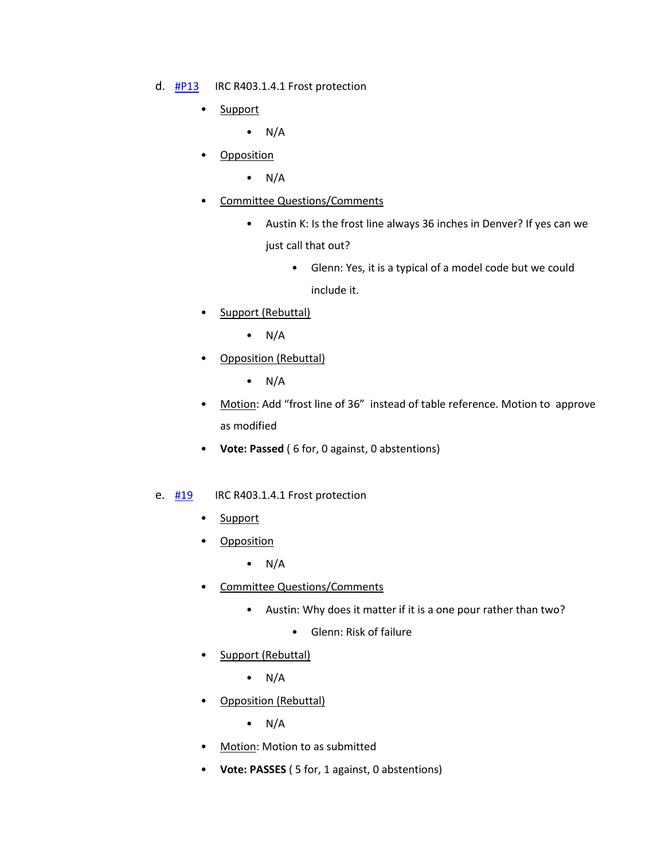- d. [#P13](https://www.denvergov.org/files/assets/public/community-planning-and-development/documents/ds/site-development/p13-irc-r403.1.4.1-frost-protection.pdf) IRC R403.1.4.1 Frost protection
	- Support
		- $\bullet$  N/A
	- Opposition
		- $\bullet$  N/A
	- Committee Questions/Comments
		- Austin K: Is the frost line always 36 inches in Denver? If yes can we just call that out?
			- Glenn: Yes, it is a typical of a model code but we could include it.
	- Support (Rebuttal)
		- $\bullet$  N/A
	- Opposition (Rebuttal)
		- $\bullet$  N/A
	- Motion: Add "frost line of 36" instead of table reference. Motion to approve as modified
	- **Vote: Passed** ( 6 for, 0 against, 0 abstentions)
- e.  $\frac{\#19}{\#19}$  $\frac{\#19}{\#19}$  $\frac{\#19}{\#19}$  IRC R403.1.4.1 Frost protection
	- Support
	- Opposition
		- $\bullet$  N/A
	- Committee Questions/Comments
		- Austin: Why does it matter if it is a one pour rather than two?
			- Glenn: Risk of failure
	- Support (Rebuttal)
		- $\bullet$  N/A
	- Opposition (Rebuttal)
		- $\bullet$  N/A
	- Motion: Motion to as submitted
	- **Vote: PASSES** ( 5 for, 1 against, 0 abstentions)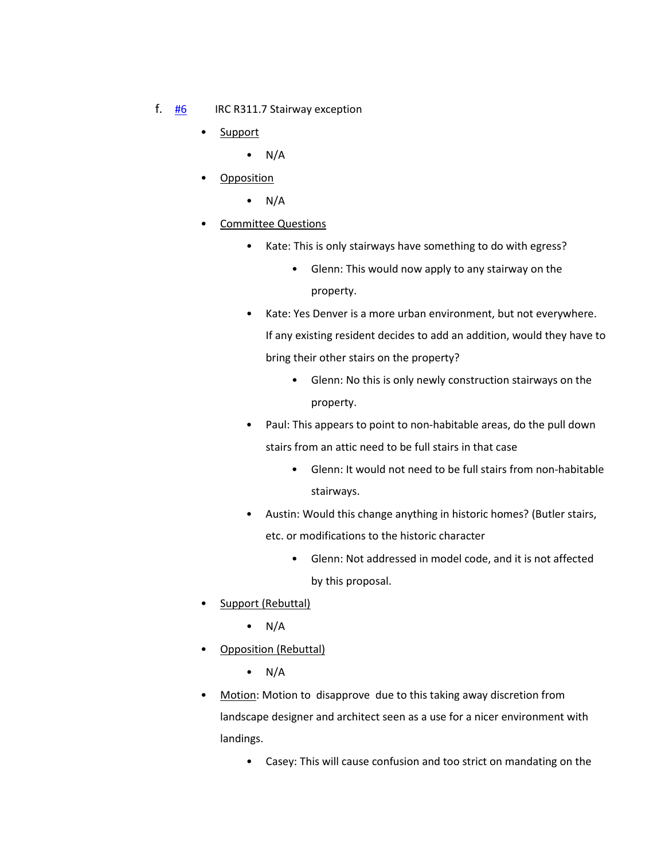- f. [#6](https://www.denvergov.org/files/assets/public/community-planning-and-development/documents/ds/building-codes/code-adoption/amendment-proposals/irc/irc_r311.7.pdf) IRC R311.7 Stairway exception
	- Support
		- $\bullet$  N/A
	- Opposition
		- $\bullet$  N/A
	- Committee Questions
		- Kate: This is only stairways have something to do with egress?
			- Glenn: This would now apply to any stairway on the property.
		- Kate: Yes Denver is a more urban environment, but not everywhere. If any existing resident decides to add an addition, would they have to bring their other stairs on the property?
			- Glenn: No this is only newly construction stairways on the property.
		- Paul: This appears to point to non-habitable areas, do the pull down stairs from an attic need to be full stairs in that case
			- Glenn: It would not need to be full stairs from non-habitable stairways.
		- Austin: Would this change anything in historic homes? (Butler stairs, etc. or modifications to the historic character
			- Glenn: Not addressed in model code, and it is not affected by this proposal.
	- Support (Rebuttal)
		- $\bullet$  N/A
	- Opposition (Rebuttal)
		- $\bullet$  N/A
	- Motion: Motion to disapprove due to this taking away discretion from landscape designer and architect seen as a use for a nicer environment with landings.
		- Casey: This will cause confusion and too strict on mandating on the